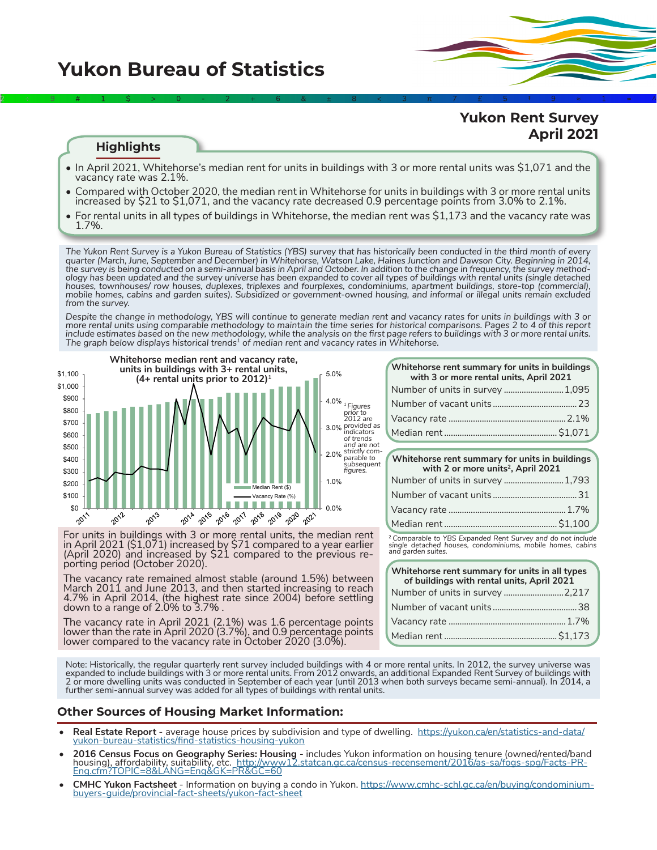# **Yukon Bureau of Statistics**

# **Yukon Rent Survey April 2021**

#### **Highlights**

• In April 2021, Whitehorse's median rent for units in buildings with 3 or more rental units was \$1,071 and the vacancy rate was 2.1%.

2÷9#1\$>0-2+6&±8<3π7£5‡9≈1∞^

- Compared with October 2020, the median rent in Whitehorse for units in buildings with 3 or more rental units increased by \$21 to \$1,071, and the vacancy rate decreased 0.9 percentage points from 3.0% to 2.1%.
- For rental units in all types of buildings in Whitehorse, the median rent was \$1,173 and the vacancy rate was 1.7%.

*The Yukon Rent Survey is a Yukon Bureau of Statistics (YBS) survey that has historically been conducted in the third month of every quarter (March, June, September and December) in Whitehorse, Watson Lake, Haines Junction and Dawson City. Beginning in 2014,*  the survey is being conducted on a semi-annual basis in April and October. In addition to the change in frequency, the survey method-<br>ology has been updated and the survey universe has been expanded to cover all types of b *houses, townhouses/ row houses, duplexes, triplexes and fourplexes, condominiums, apartment buildings, store-top (commercial), mobile homes, cabins and garden suites). Subsidized or government-owned housing, and informal or illegal units remain excluded from the survey.* 

*Despite the change in methodology, YBS will continue to generate median rent and vacancy rates for units in buildings with 3 or more rental units using comparable methodology to maintain the time series for historical comparisons. Pages 2 to 4 of this report include estimates based on the new methodology, while the analysis on the first page refers to buildings with 3 or more rental units. The graph below displays historical trends1 of median rent and vacancy rates in Whitehorse.*



For units in buildings with 3 or more rental units, the median rent in April 2021 (\$1,071) increased by \$71 compared to a year earlier (April 2020) and increased by \$21 compared to the previous re- porting period (October 2020).

The vacancy rate remained almost stable (around 1.5%) between March 2011 and June 2013, and then started increasing to reach 4.7% in April 2014, (the highest rate since 2004) before settling down to a range of 2.0% to 3.7% .

The vacancy rate in April 2021 (2.1%) was 1.6 percentage points lower than the rate in April 2020 (3.7%), and 0.9 percentage points lower compared to the vacancy rate in October 2020 (3.0%).

| Whitehorse rent summary for units in buildings<br>with 3 or more rental units, April 2021 |  |  |  |  |  |  |
|-------------------------------------------------------------------------------------------|--|--|--|--|--|--|
| Number of units in survey  1,095                                                          |  |  |  |  |  |  |
|                                                                                           |  |  |  |  |  |  |
|                                                                                           |  |  |  |  |  |  |
|                                                                                           |  |  |  |  |  |  |

| Whitehorse rent summary for units in buildings<br>with 2 or more units <sup>2</sup> , April 2021 |  |  |  |  |  |  |  |
|--------------------------------------------------------------------------------------------------|--|--|--|--|--|--|--|
| Number of units in survey  1,793                                                                 |  |  |  |  |  |  |  |
|                                                                                                  |  |  |  |  |  |  |  |
|                                                                                                  |  |  |  |  |  |  |  |
|                                                                                                  |  |  |  |  |  |  |  |

**<sup>2</sup>** *Comparable to YBS Expanded Rent Survey and do not include single detached houses, condominiums, mobile homes, cabins and garden suites.*

| Whitehorse rent summary for units in all types<br>of buildings with rental units, April 2021 |  |  |  |  |  |  |  |
|----------------------------------------------------------------------------------------------|--|--|--|--|--|--|--|
|                                                                                              |  |  |  |  |  |  |  |
|                                                                                              |  |  |  |  |  |  |  |
|                                                                                              |  |  |  |  |  |  |  |
|                                                                                              |  |  |  |  |  |  |  |

Note: Historically, the regular quarterly rent survey included buildings with 4 or more rental units. In 2012, the survey universe was expanded to include buildings with 3 or more rental units. From 2012 onwards, an additional Expanded Rent Survey of buildings with 2 or more dwelling units was conducted in September of each year (until 2013 when both surveys became semi-annual). In 2014, a further semi-annual survey was added for all types of buildings with rental units.

# **Other Sources of Housing Market Information:**

- **Real Estate Report** average house prices by subdivision and type of dwelling. [https://yukon.ca/en/statistics-and-data/](https://yukon.ca/en/statistics-and-data/yukon-bureau-statistics/find-statistics-housing-yukon)<br>[yukon-bureau-statistics/find-statistics-housing-yukon](https://yukon.ca/en/statistics-and-data/yukon-bureau-statistics/find-statistics-housing-yukon)
- 2016 Census Focus on Geography Series: Housing  [includes Yukon information on housing tenure \(owned/rented/band](http://www12.statcan.gc.ca/census-recensement/2016/as-sa/fogs-spg/Facts-PR-Eng.cfm?TOPIC=8&LANG=Eng&GK=PR&GC=60)<br>housing), affordability, suitability, etc. http://www12.statcan.gc.ca/census-recensement/2016/as-sa/fogs-spg/
- **• CMHC Yukon Factsheet** Information on buying a condo in Yukon. [https://www.cmhc-schl.gc.ca/en/buying/condominium-](https://www.cmhc-schl.gc.ca/en/buying/condominium-buyers-guide/provincial-fact-sheets/yukon-fact-sheet) [buyers-guide/provincial-fact-sheets/yukon-fact-sheet](https://www.cmhc-schl.gc.ca/en/buying/condominium-buyers-guide/provincial-fact-sheets/yukon-fact-sheet)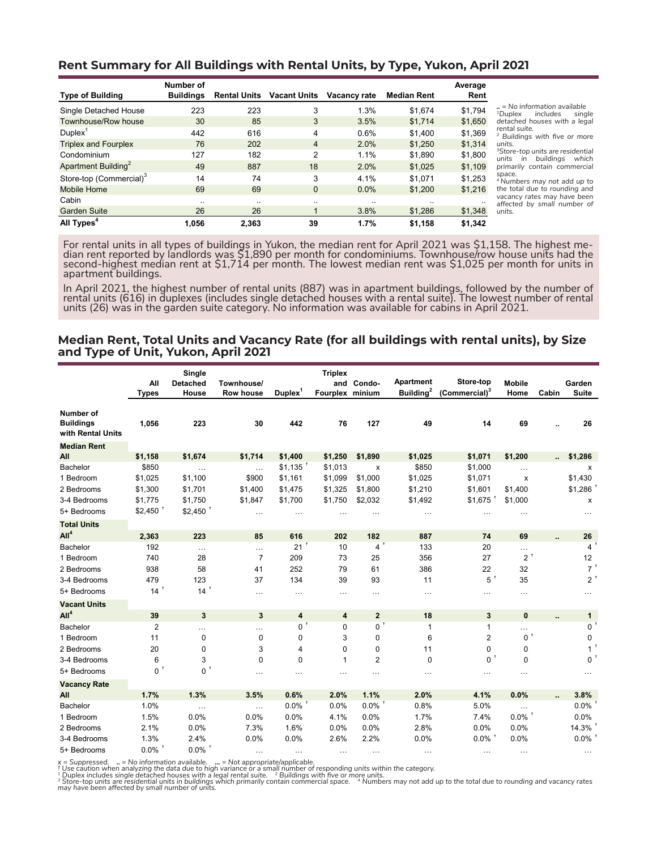## **Rent Summary for All Buildings with Rental Units, by Type, Yukon, April 2021**

|                                     | Number of        |                     |                     |              |                    | Average |                                                                                   |
|-------------------------------------|------------------|---------------------|---------------------|--------------|--------------------|---------|-----------------------------------------------------------------------------------|
| <b>Type of Building</b>             | <b>Buildings</b> | <b>Rental Units</b> | <b>Vacant Units</b> | Vacancy rate | <b>Median Rent</b> | Rent    |                                                                                   |
| Single Detached House               | 223              | 223                 | 3                   | 1.3%         | \$1.674            | \$1,794 | $\mu$ = No information available<br><sup>1</sup> Duplex<br>includes<br>single     |
| Townhouse/Row house                 | 30               | 85                  | 3                   | 3.5%         | \$1,714            | \$1,650 | detached houses with a legal                                                      |
| $D$ uplex $^{\mathrm{T}}$           | 442              | 616                 | 4                   | 0.6%         | \$1,400            | \$1,369 | rental suite.<br><sup>2</sup> Buildings with five or more                         |
| <b>Triplex and Fourplex</b>         | 76               | 202                 | 4                   | 2.0%         | \$1,250            | \$1,314 | units.                                                                            |
| Condominium                         | 127              | 182                 | 2                   | 1.1%         | \$1,890            | \$1,800 | <sup>3</sup> Store-top units are residential<br>buildinas<br>units<br>which<br>in |
| Apartment Building <sup>2</sup>     | 49               | 887                 | 18                  | 2.0%         | \$1.025            | \$1,109 | primarily contain commercial                                                      |
| Store-top (Commercial) <sup>3</sup> | 14               | 74                  | 3                   | 4.1%         | \$1.071            | \$1,253 | space.<br><sup>4</sup> Numbers may not add up to                                  |
| <b>Mobile Home</b>                  | 69               | 69                  | $\Omega$            | 0.0%         | \$1,200            | \$1,216 | the total due to rounding and                                                     |
| Cabin                               |                  | $\cdot$ .           | $\cdot$ .           |              |                    |         | vacancy rates may have been<br>affected by small number of                        |
| <b>Garden Suite</b>                 | 26               | 26                  |                     | 3.8%         | \$1,286            | \$1,348 | units.                                                                            |
| All Types <sup>4</sup>              | 1,056            | 2,363               | 39                  | 1.7%         | \$1,158            | \$1,342 |                                                                                   |

For rental units in all types of buildings in Yukon, the median rent for April 2021 was \$1,158. The highest me-<br>dian rent reported by landlords was \$1,890 per month for condominiums. Townhouse/row house units had the second-highest median rent at \$1,714 per month. The lowest median rent was \$1,025 per month for units in apartment buildings.

In April 2021, the highest number of rental units (887) was in apartment buildings, followed by the number of rental units (616) in duplexes (includes single detached houses with a rental suite). The lowest number of rental units (26) was in the garden suite category. No information was available for cabins in April 2021.

#### **Median Rent, Total Units and Vacancy Rate (for all buildings with rental units), by Size and Type of Unit, Yukon, April 2021**

|                                                    | All<br><b>Types</b>  | Single<br><b>Detached</b><br>House | Townhouse/<br>Row house | $D$ uplex $^1$ | <b>Triplex</b><br>and<br>Fourplex minium | Condo-               | Apartment<br>Building <sup>2</sup> | Store-top<br>(Commercial) <sup>3</sup> | <b>Mobile</b><br>Home | Cabin | Garden<br><b>Suite</b> |
|----------------------------------------------------|----------------------|------------------------------------|-------------------------|----------------|------------------------------------------|----------------------|------------------------------------|----------------------------------------|-----------------------|-------|------------------------|
| Number of<br><b>Buildings</b><br>with Rental Units | 1,056                | 223                                | 30                      | 442            | 76                                       | 127                  | 49                                 | 14                                     | 69                    |       | 26                     |
| <b>Median Rent</b>                                 |                      |                                    |                         |                |                                          |                      |                                    |                                        |                       |       |                        |
| All                                                | \$1,158              | \$1,674                            | \$1,714                 | \$1,400        | \$1,250                                  | \$1,890              | \$1,025                            | \$1,071                                | \$1,200               |       | \$1,286                |
| Bachelor                                           | \$850                | $\ldots$                           | $\cdots$                | \$1,135        | \$1,013                                  | x                    | \$850                              | \$1,000                                | $\ldots$              |       | x                      |
| 1 Bedroom                                          | \$1,025              | \$1,100                            | \$900                   | \$1,161        | \$1,099                                  | \$1,000              | \$1,025                            | \$1,071                                | х                     |       | \$1,430                |
| 2 Bedrooms                                         | \$1,300              | \$1,701                            | \$1,400                 | \$1,475        | \$1,325                                  | \$1,800              | \$1,210                            | \$1,601                                | \$1,400               |       | \$1,286                |
| 3-4 Bedrooms                                       | \$1,775              | \$1,750                            | \$1,847                 | \$1,700        | \$1,750                                  | \$2,032              | \$1,492                            | $$1,675$ <sup>+</sup>                  | \$1,000               |       | x                      |
| 5+ Bedrooms                                        | $$2,450$ $^+$        | $$2,450$ <sup>+</sup>              | $\cdots$                | $\cdots$       | $\cdots$                                 | $\cdots$             | $\cdots$                           | $\cdots$                               | $\cdots$              |       | $\cdots$               |
| <b>Total Units</b>                                 |                      |                                    |                         |                |                                          |                      |                                    |                                        |                       |       |                        |
| All <sup>4</sup>                                   | 2,363                | 223                                | 85                      | 616            | 202                                      | 182                  | 887                                | 74                                     | 69                    |       | 26                     |
| Bachelor                                           | 192                  | $\ldots$                           | $\cdots$                | 21             | 10                                       | 4 <sup>†</sup>       | 133                                | 20                                     | $\cdots$              |       | $4^{\circ}$            |
| 1 Bedroom                                          | 740                  | 28                                 | $\overline{7}$          | 209            | 73                                       | 25                   | 356                                | 27                                     | Ť<br>$\overline{2}$   |       | 12                     |
| 2 Bedrooms                                         | 938                  | 58                                 | 41                      | 252            | 79                                       | 61                   | 386                                | 22                                     | 32                    |       | $7^+$                  |
| 3-4 Bedrooms                                       | 479                  | 123                                | 37                      | 134            | 39                                       | 93                   | 11                                 | $5^+$                                  | 35                    |       | $2^+$                  |
| 5+ Bedrooms                                        | $14$ <sup>+</sup>    | $14+$                              | $\cdots$                | $\cdots$       | $\cdots$                                 | $\cdots$             | $\cdots$                           | .                                      | $\cdots$              |       |                        |
| <b>Vacant Units</b>                                |                      |                                    |                         |                |                                          |                      |                                    |                                        |                       |       |                        |
| All <sup>4</sup>                                   | 39                   | 3                                  | $\mathbf{3}$            | 4              | 4                                        | $\mathbf{2}$         | 18                                 | 3                                      | 0                     |       | $\mathbf{1}$           |
| Bachelor                                           | $\overline{2}$       | $\cdots$                           |                         | $0+$           | $\mathbf 0$                              | $0^+$                | $\mathbf{1}$                       | $\mathbf{1}$                           | $\cdots$              |       | 0 <sup>1</sup>         |
| 1 Bedroom                                          | 11                   | $\mathbf 0$                        | 0                       | 0              | 3                                        | 0                    | 6                                  | 2                                      | $0+$                  |       | 0                      |
| 2 Bedrooms                                         | 20                   | 0                                  | 3                       | 4              | 0                                        | 0                    | 11                                 | 0                                      | 0                     |       | $\mathbf{1}$           |
| 3-4 Bedrooms                                       | 6                    | 3                                  | $\mathbf 0$             | 0              | $\mathbf{1}$                             | $\overline{2}$       | $\mathbf 0$                        | 0                                      | $\mathbf 0$           |       | $0^{\circ}$            |
| 5+ Bedrooms                                        | 0 <sup>1</sup>       | $0^+$                              | .                       |                | $\cdots$                                 | $\cdots$             | $\cdots$                           | .                                      | $\cdots$              |       |                        |
| <b>Vacancy Rate</b>                                |                      |                                    |                         |                |                                          |                      |                                    |                                        |                       |       |                        |
| All                                                | 1.7%                 | 1.3%                               | 3.5%                    | 0.6%           | 2.0%                                     | 1.1%                 | 2.0%                               | 4.1%                                   | 0.0%                  |       | 3.8%                   |
| Bachelor                                           | 1.0%                 | $\ldots$                           | $\ldots$                | $0.0\%$        | 0.0%                                     | $0.0\%$ <sup>+</sup> | 0.8%                               | 5.0%                                   | $\cdots$              |       | $0.0\%$                |
| 1 Bedroom                                          | 1.5%                 | 0.0%                               | 0.0%                    | 0.0%           | 4.1%                                     | 0.0%                 | 1.7%                               | 7.4%                                   | $0.0\%$ <sup>+</sup>  |       | 0.0%                   |
| 2 Bedrooms                                         | 2.1%                 | 0.0%                               | 7.3%                    | 1.6%           | 0.0%                                     | 0.0%                 | 2.8%                               | 0.0%                                   | 0.0%                  |       | $14.3\%$ <sup>+</sup>  |
| 3-4 Bedrooms                                       | 1.3%                 | 2.4%                               | 0.0%                    | 0.0%           | 2.6%                                     | 2.2%                 | 0.0%                               | $0.0\%$ <sup>+</sup>                   | 0.0%                  |       | $0.0\%$ <sup>+</sup>   |
| 5+ Bedrooms                                        | $0.0\%$ <sup>+</sup> | $0.0\%$ <sup>+</sup>               | $\cdots$                | $\cdots$       | $\cdots$                                 | $\cdots$             | $\cdots$                           | $\cdots$                               | $\cdots$              |       | $\cdots$               |

x = Suppressed. .. = No information available. ... = Not appropriate/applicable.<br>† Use caution when analyzing the data due to high variance or a small number of responding units within the category.<br>† Duplex includes singl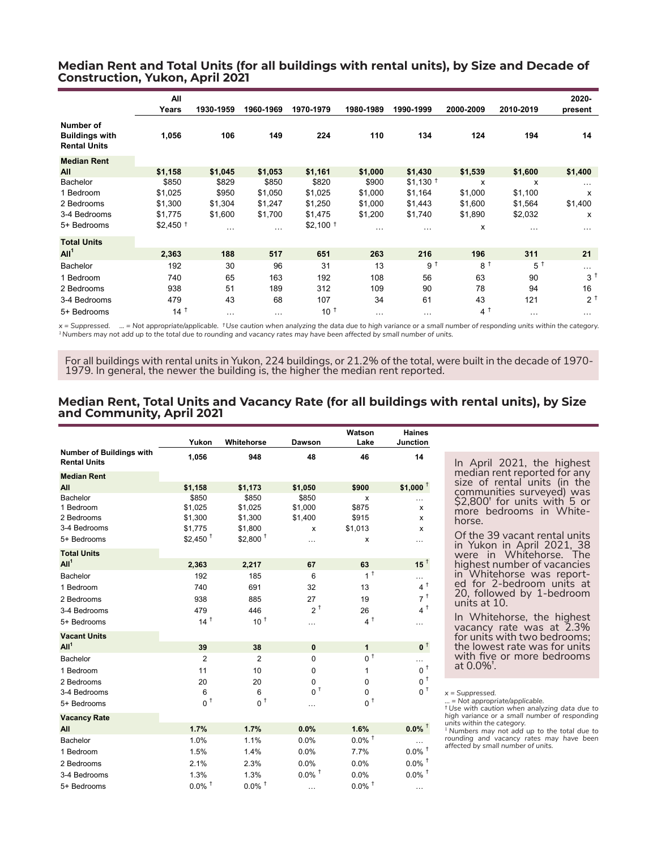#### **Median Rent and Total Units (for all buildings with rental units), by Size and Decade of Construction, Yukon, April 2021**

|                                                           | All<br>Years          | 1930-1959 | 1960-1969 | 1970-1979             | 1980-1989 | 1990-1999             | 2000-2009         | 2010-2019        | 2020-<br>present |
|-----------------------------------------------------------|-----------------------|-----------|-----------|-----------------------|-----------|-----------------------|-------------------|------------------|------------------|
| Number of<br><b>Buildings with</b><br><b>Rental Units</b> | 1,056                 | 106       | 149       | 224                   | 110       | 134                   | 124               | 194              | 14               |
| <b>Median Rent</b>                                        |                       |           |           |                       |           |                       |                   |                  |                  |
| All                                                       | \$1,158               | \$1,045   | \$1,053   | \$1,161               | \$1,000   | \$1,430               | \$1,539           | \$1,600          | \$1,400          |
| Bachelor                                                  | \$850                 | \$829     | \$850     | \$820                 | \$900     | $$1,130$ <sup>t</sup> | X                 | x                | $\cdots$         |
| 1 Bedroom                                                 | \$1,025               | \$950     | \$1,050   | \$1,025               | \$1,000   | \$1,164               | \$1,000           | \$1,100          | x                |
| 2 Bedrooms                                                | \$1,300               | \$1,304   | \$1,247   | \$1,250               | \$1,000   | \$1,443               | \$1,600           | \$1,564          | \$1,400          |
| 3-4 Bedrooms                                              | \$1,775               | \$1,600   | \$1,700   | \$1,475               | \$1,200   | \$1,740               | \$1,890           | \$2,032          | x                |
| 5+ Bedrooms                                               | $$2,450$ <sup>†</sup> | $\cdots$  | $\cdots$  | $$2,100$ <sup>+</sup> | $\cdots$  | $\cdots$              | х                 | $\cdots$         | $\cdots$         |
| <b>Total Units</b>                                        |                       |           |           |                       |           |                       |                   |                  |                  |
| All <sup>1</sup>                                          | 2,363                 | 188       | 517       | 651                   | 263       | 216                   | 196               | 311              | 21               |
| <b>Bachelor</b>                                           | 192                   | 30        | 96        | 31                    | 13        | 9 <sup>†</sup>        | $8^{\frac{1}{2}}$ | $5^{\mathrm{t}}$ | $\cdots$         |
| 1 Bedroom                                                 | 740                   | 65        | 163       | 192                   | 108       | 56                    | 63                | 90               | $3^1$            |
| 2 Bedrooms                                                | 938                   | 51        | 189       | 312                   | 109       | 90                    | 78                | 94               | 16               |
| 3-4 Bedrooms                                              | 479                   | 43        | 68        | 107                   | 34        | 61                    | 43                | 121              | $2^{\circ}$      |
| 5+ Bedrooms                                               | $14^{\text{t}}$       | $\cdots$  | $\cdots$  | $10^{-1}$             | $\cdots$  | $\cdots$              | $4^1$             | $\cdots$         | $\cdots$         |

*x = Suppressed. ... = Not appropriate/applicable. † Use caution when analyzing the data due to high variance or a small number of responding units within the category. 1 Numbers may not add up to the total due to rounding and vacancy rates may have been affected by small number of units.*

For all buildings with rental units in Yukon, 224 buildings, or 21.2% of the total, were built in the decade of 1970- 1979. In general, the newer the building is, the higher the median rent reported.

#### **Median Rent, Total Units and Vacancy Rate (for all buildings with rental units), by Size and Community, April 2021**

|                                                 | Yukon                 | Whitehorse            | Dawson               | Watson<br>Lake       | <b>Haines</b><br>Junction |
|-------------------------------------------------|-----------------------|-----------------------|----------------------|----------------------|---------------------------|
| Number of Buildings with<br><b>Rental Units</b> | 1,056                 | 948                   | 48                   | 46                   | 14                        |
| <b>Median Rent</b>                              |                       |                       |                      |                      |                           |
| All                                             | \$1,158               | \$1,173               | \$1,050              | \$900                | \$1,000 $^{\dagger}$      |
| Bachelor                                        | \$850                 | \$850                 | \$850                | x                    | .                         |
| 1 Bedroom                                       | \$1,025               | \$1,025               | \$1,000              | \$875                | X                         |
| 2 Bedrooms                                      | \$1,300               | \$1,300               | \$1,400              | \$915                | x                         |
| 3-4 Bedrooms                                    | \$1,775               | \$1,800               | x                    | \$1,013              | X                         |
| 5+ Bedrooms                                     | $$2,450$ <sup>t</sup> | $$2,800$ <sup>+</sup> | $\cdots$             | x                    | $\cdots$                  |
| <b>Total Units</b>                              |                       |                       |                      |                      |                           |
| All <sup>1</sup>                                | 2,363                 | 2,217                 | 67                   | 63                   | 15 $^{\dagger}$           |
| Bachelor                                        | 192                   | 185                   | 6                    | 1 <sup>†</sup>       | $\cdots$                  |
| 1 Bedroom                                       | 740                   | 691                   | 32                   | 13                   | 4 <sup>†</sup>            |
| 2 Bedrooms                                      | 938                   | 885                   | 27                   | 19                   | 7 <sup>†</sup>            |
| 3-4 Bedrooms                                    | 479                   | 446                   | $2^+$                | 26                   | 4 <sup>†</sup>            |
| 5+ Bedrooms                                     | $14^{\text{t}}$       | 10 <sup>†</sup>       | .                    | $4^{\dagger}$        | $\cdots$                  |
| <b>Vacant Units</b>                             |                       |                       |                      |                      |                           |
| All <sup>1</sup>                                | 39                    | 38                    | $\mathbf{0}$         | $\mathbf{1}$         | 0 <sup>†</sup>            |
| Bachelor                                        | $\overline{2}$        | $\overline{2}$        | $\mathbf 0$          | 0 <sup>†</sup>       |                           |
| 1 Bedroom                                       | 11                    | 10                    | 0                    | $\mathbf{1}$         | $0^{\, \dagger}$          |
| 2 Bedrooms                                      | 20                    | 20                    | 0                    | $\mathbf 0$          | $0^{\, \, \dagger}$       |
| 3-4 Bedrooms                                    | 6                     | 6                     | $0^{\, \, \dagger}$  | $\Omega$             | $0^{\, \, \uparrow}$      |
| 5+ Bedrooms                                     | 0 <sup>†</sup>        | 0 <sup>†</sup>        | .                    | $0^+$                |                           |
| <b>Vacancy Rate</b>                             |                       |                       |                      |                      |                           |
| All                                             | 1.7%                  | 1.7%                  | 0.0%                 | 1.6%                 | $0.0\%$ <sup>+</sup>      |
| Bachelor                                        | 1.0%                  | 1.1%                  | 0.0%                 | $0.0\%$ <sup>+</sup> |                           |
| 1 Bedroom                                       | 1.5%                  | 1.4%                  | 0.0%                 | 7.7%                 | $0.0\%$ <sup>+</sup>      |
| 2 Bedrooms                                      | 2.1%                  | 2.3%                  | 0.0%                 | 0.0%                 | $0.0\%$ $^\dagger$        |
| 3-4 Bedrooms                                    | 1.3%                  | 1.3%                  | $0.0\%$ <sup>+</sup> | 0.0%                 | $0.0\%$ <sup>+</sup>      |
| 5+ Bedrooms                                     | $0.0\%$ <sup>+</sup>  | $0.0\%$ <sup>+</sup>  | $\cdots$             | $0.0\%$ <sup>+</sup> | $\cdots$                  |

In April 2021, the highest median rent reported for any size of rental units (in the communities surveyed) was \$2,800**†** for units with 5 or more bedrooms in White- horse.

Of the 39 vacant rental units in Yukon in April 2021, 38 were in Whitehorse. The highest number of vacancies<br>in Whitehorse was reportin Whitehorse was report-<br>ed for 2-bedroom units at 20, followed by 1-bedroom units at 10.

In Whitehorse, the highest vacancy rate was at 2.3% for units with two bedrooms; the lowest rate was for units with five or more bedrooms at 0.0%**†** .

*x = Suppressed.* 

*<sup>... =</sup> Not appropriate/applicable. † Use with caution when analyzing data due to high variance or a small number of responding units within the category. 1 Numbers may not add up to the total due to* 

*rounding and vacancy rates may have been affected by small number of units.*